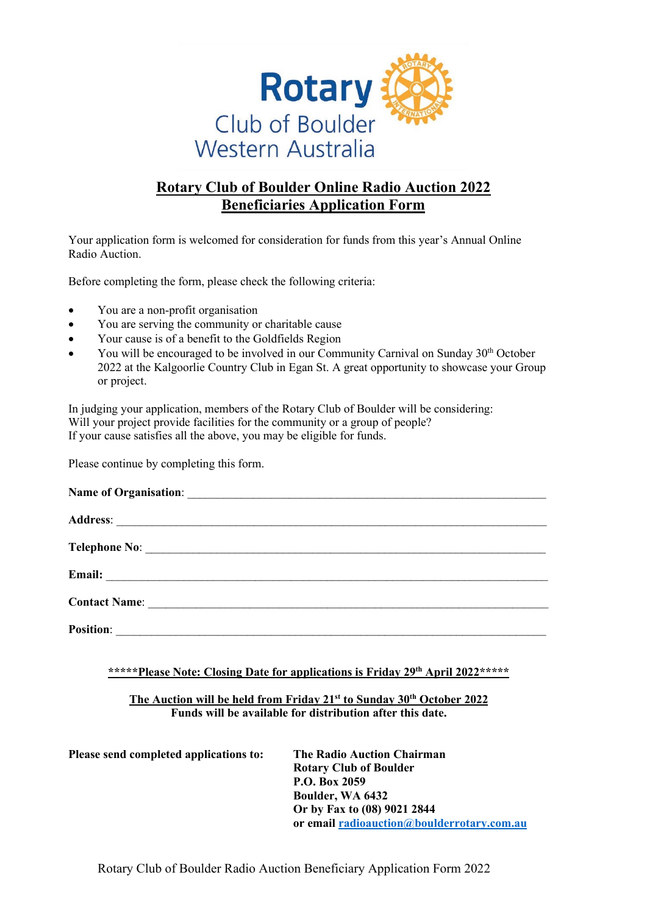

## **Rotary Club of Boulder Online Radio Auction 2022 Beneficiaries Application Form**

Your application form is welcomed for consideration for funds from this year's Annual Online Radio Auction.

Before completing the form, please check the following criteria:

- You are a non-profit organisation
- You are serving the community or charitable cause
- Your cause is of a benefit to the Goldfields Region
- You will be encouraged to be involved in our Community Carnival on Sunday 30<sup>th</sup> October 2022 at the Kalgoorlie Country Club in Egan St. A great opportunity to showcase your Group or project.

In judging your application, members of the Rotary Club of Boulder will be considering: Will your project provide facilities for the community or a group of people? If your cause satisfies all the above, you may be eligible for funds.

Please continue by completing this form.

| Email: <u>Discovered and the second contract of the second contract of the second contract of the second contract of the second contract of the second contract of the second contract of the second contract of the second cont</u> |
|--------------------------------------------------------------------------------------------------------------------------------------------------------------------------------------------------------------------------------------|
| <b>Contact Name:</b>                                                                                                                                                                                                                 |
| <b>Position:</b>                                                                                                                                                                                                                     |

**\*\*\*\*\*Please Note: Closing Date for applications is Friday 29th April 2022\*\*\*\*\*** 

## **The Auction will be held from Friday 21st to Sunday 30th October 2022 Funds will be available for distribution after this date.**

**Please send completed applications to: The Radio Auction Chairman Rotary Club of Boulder P.O. Box 2059 Boulder, WA 6432 Or by Fax to (08) 9021 2844 or email [radioauction@boulderrotary.com.au](mailto:radioauction@boulderrotary.com.au)** 

Rotary Club of Boulder Radio Auction Beneficiary Application Form 2022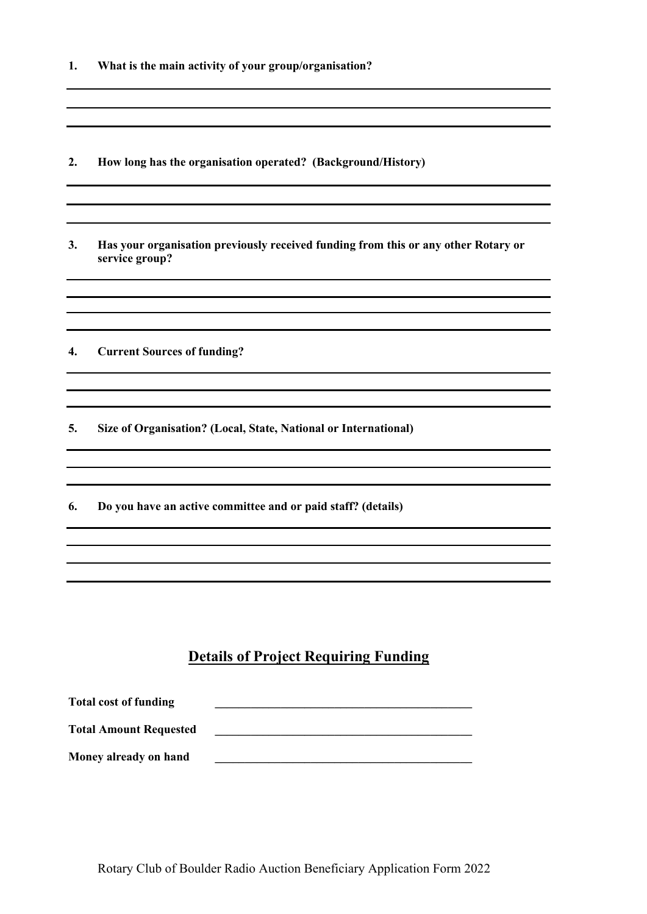| 1. |  |  |  |  | What is the main activity of your group/organisation? |
|----|--|--|--|--|-------------------------------------------------------|
|----|--|--|--|--|-------------------------------------------------------|

**2. How long has the organisation operated? (Background/History)**

**3. Has your organisation previously received funding from this or any other Rotary or service group?**

,我们也不会有一个人的人,我们也不会有一个人的人,我们也不会有一个人的人。""我们,我们也不会有一个人的人,我们也不会有一个人的人。""我们,我们也不会有一个人

**4. Current Sources of funding?** 

**5. Size of Organisation? (Local, State, National or International)** 

**6. Do you have an active committee and or paid staff? (details)**

## **Details of Project Requiring Funding**

| <b>Total cost of funding</b>  |  |
|-------------------------------|--|
| <b>Total Amount Requested</b> |  |
| Money already on hand         |  |